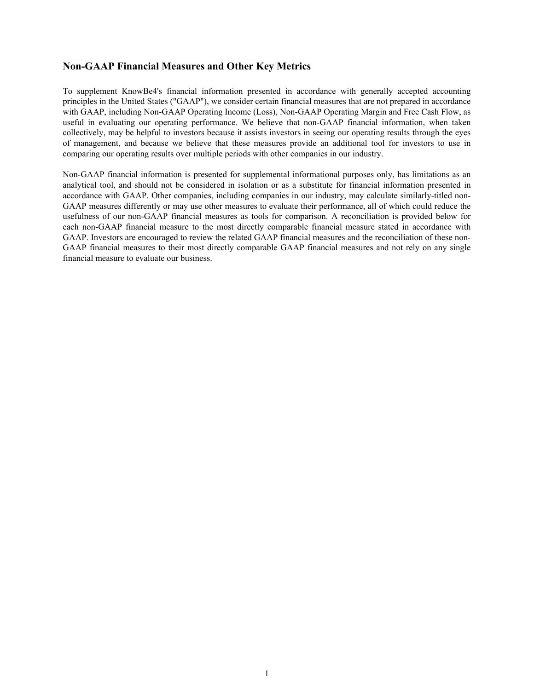# **Non-GAAP Financial Measures and Other Key Metrics**

To supplement KnowBe4's financial information presented in accordance with generally accepted accounting principles in the United States ("GAAP"), we consider certain financial measures that are not prepared in accordance with GAAP, including Non-GAAP Operating Income (Loss), Non-GAAP Operating Margin and Free Cash Flow, as useful in evaluating our operating performance. We believe that non-GAAP financial information, when taken collectively, may be helpful to investors because it assists investors in seeing our operating results through the eyes of management, and because we believe that these measures provide an additional tool for investors to use in comparing our operating results over multiple periods with other companies in our industry.

Non-GAAP financial information is presented for supplemental informational purposes only, has limitations as an analytical tool, and should not be considered in isolation or as a substitute for financial information presented in accordance with GAAP. Other companies, including companies in our industry, may calculate similarly-titled non-GAAP measures differently or may use other measures to evaluate their performance, all of which could reduce the usefulness of our non-GAAP financial measures as tools for comparison. A reconciliation is provided below for each non-GAAP financial measure to the most directly comparable financial measure stated in accordance with GAAP. Investors are encouraged to review the related GAAP financial measures and the reconciliation of these non-GAAP financial measures to their most directly comparable GAAP financial measures and not rely on any single financial measure to evaluate our business.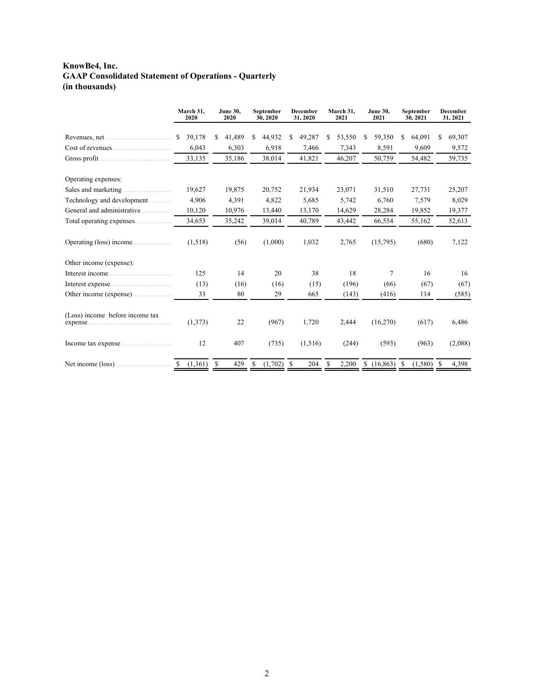# **KnowBe4, Inc. GAAP Consolidated Statement of Operations - Quarterly (in thousands)**

|                                 | March 31,<br>2020 | <b>June 30,</b><br>September<br>2020<br>30, 2020 |                   | December<br>31, 2020 | March 31,<br>2021 | <b>June 30,</b><br>2021 | September<br>30, 2021 | <b>December</b><br>31, 2021 |  |
|---------------------------------|-------------------|--------------------------------------------------|-------------------|----------------------|-------------------|-------------------------|-----------------------|-----------------------------|--|
|                                 | 39,178<br>S.      | 41,489<br>S                                      | 44,932<br>S.      | 49,287<br>\$         | 53,550<br>S       | 59,350<br>S             | 64,091<br>\$          | 69,307<br>S.                |  |
|                                 | 6,043             | 6,303                                            | 6,918             | 7,466                | 7,343             | 8,591                   | 9,609                 | 9,572                       |  |
| Gross profit $\ldots$           | 33,135            | 35,186                                           | 38,014            | 41,821               | 46,207            | 50,759                  | 54,482                | 59,735                      |  |
| Operating expenses:             |                   |                                                  |                   |                      |                   |                         |                       |                             |  |
| Sales and marketing.            | 19,627            | 19,875                                           | 20,752            | 21,934               | 23,071            | 31,510                  | 27,731                | 25,207                      |  |
| Technology and development      | 4,906             | 4,391                                            | 4,822             | 5,685                | 5,742             | 6,760                   | 7,579                 | 8,029                       |  |
| General and administrative      | 10,120            | 10,976                                           | 13,440            | 13,170               | 14,629            | 28,284                  | 19,852                | 19,377                      |  |
|                                 | 34,653            | 35,242                                           | 39,014            | 40,789               | 43,442            | 66,554                  | 55,162                | 52,613                      |  |
| Operating (loss) income         | (1,518)           | (56)                                             | (1,000)           | 1,032                | 2,765             | (15,795)                | (680)                 | 7,122                       |  |
| Other income (expense):         |                   |                                                  |                   |                      |                   |                         |                       |                             |  |
|                                 | 125               | 14                                               | 20                | 38                   | 18                | 7                       | 16                    | 16                          |  |
|                                 | (13)              | (16)                                             | (16)              | (15)                 | (196)             | (66)                    | (67)                  | (67)                        |  |
| Other income (expense)          | 33                | 80                                               | 29                | 665                  | (143)             | (416)                   | 114                   | (585)                       |  |
| (Loss) income before income tax | (1,373)           | 22                                               | (967)             | 1,720                | 2,444             | (16,270)                | (617)                 | 6,486                       |  |
|                                 | 12                | 407                                              | (735)             | (1,516)              | (244)             | (593)                   | (963)                 | (2,088)                     |  |
| Net income (loss)               | (1,361)<br>-S     | \$<br>429                                        | $(1,702)$ \$<br>S | 204                  | 2,200<br>\$       | $$(16,863)$ \, S        | (1,580)               | 4,398<br>\$                 |  |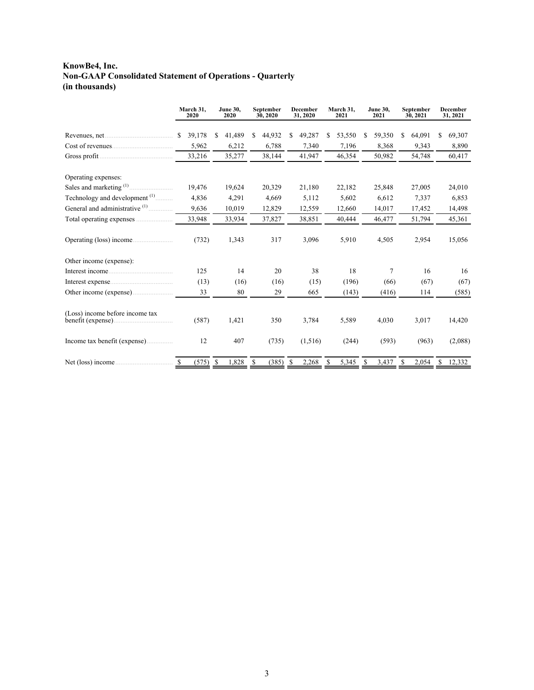# **KnowBe4, Inc. Non-GAAP Consolidated Statement of Operations - Quarterly (in thousands)**

|                                                       | March 31,<br>2020      | <b>June 30,</b><br>2020 | September<br>30, 2020 | <b>December</b><br>31, 2020 | March 31,<br>2021 | <b>June 30,</b><br>2021 | September<br>30, 2021 | <b>December</b><br>31, 2021 |
|-------------------------------------------------------|------------------------|-------------------------|-----------------------|-----------------------------|-------------------|-------------------------|-----------------------|-----------------------------|
|                                                       | 39,178<br>S            | 41,489<br>S             | 44,932<br>S           | 49,287<br>\$                | \$<br>53,550      | 59,350<br>S             | 64,091<br>S           | 69,307<br>\$                |
|                                                       | 5,962                  | 6,212                   | 6,788                 | 7,340                       | 7,196             | 8,368                   | 9,343                 | 8,890                       |
| Gross profit.                                         | 33,216                 | 35,277                  | 38,144                | 41,947                      | 46,354            | 50,982                  | 54,748                | 60,417                      |
| Operating expenses:                                   |                        |                         |                       |                             |                   |                         |                       |                             |
| Sales and marketing <sup>(1)</sup>                    | 19,476                 | 19,624                  | 20,329                | 21,180                      | 22,182            | 25,848                  | 27,005                | 24,010                      |
| Technology and development <sup>(1)</sup>             | 4,836                  | 4,291                   | 4,669                 | 5,112                       | 5,602             | 6,612                   | 7,337                 | 6,853                       |
| General and administrative <sup>(1)</sup>             | 9,636                  | 10,019                  | 12,829                | 12,559                      | 12,660            | 14,017                  | 17,452                | 14,498                      |
|                                                       | 33,948                 | 33,934                  | 37,827                | 38,851                      | 40,444            | 46,477                  | 51,794                | 45,361                      |
| Operating (loss) income                               | (732)                  | 1,343                   | 317                   | 3,096                       | 5,910             | 4,505                   | 2,954                 | 15,056                      |
| Other income (expense):                               |                        |                         |                       |                             |                   |                         |                       |                             |
|                                                       | 125                    | 14                      | 20                    | 38                          | 18                | 7                       | 16                    | 16                          |
|                                                       | (13)                   | (16)                    | (16)                  | (15)                        | (196)             | (66)                    | (67)                  | (67)                        |
| Other income (expense)                                | 33                     | 80                      | 29                    | 665                         | (143)             | (416)                   | 114                   | (585)                       |
| (Loss) income before income tax<br>benefit (expense). | (587)                  | 1,421                   | 350                   | 3,784                       | 5,589             | 4,030                   | 3,017                 | 14,420                      |
|                                                       | 12                     | 407                     | (735)                 | (1, 516)                    | (244)             | (593)                   | (963)                 | (2,088)                     |
|                                                       | (575)<br><sup>\$</sup> | <sup>\$</sup><br>1,828  | \$<br>(385)           | -S<br>2,268                 | \$<br>5,345       | S<br>3,437              | \$<br>2,054           | S<br>12,332                 |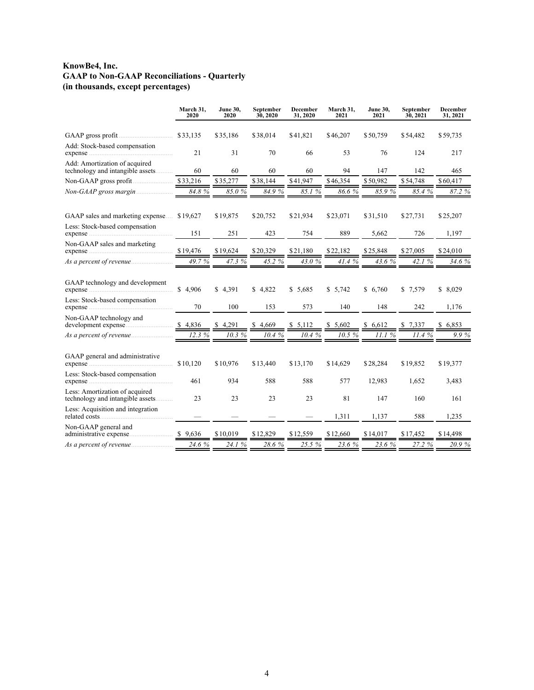## **KnowBe4, Inc. GAAP to Non-GAAP Reconciliations - Quarterly (in thousands, except percentages)**

|                                                                    | March 31,<br>2020 | <b>June 30,</b><br>2020 | September<br>30, 2020 | December<br>31, 2020 | March 31,<br>2021 | <b>June 30,</b><br>2021 | September<br>30, 2021 | December<br>31, 2021 |
|--------------------------------------------------------------------|-------------------|-------------------------|-----------------------|----------------------|-------------------|-------------------------|-----------------------|----------------------|
|                                                                    |                   | \$35,186                | \$38,014              | \$41,821             | \$46,207          | \$50,759                | \$54,482              | \$59,735             |
| Add: Stock-based compensation                                      | 21                | 31                      | 70                    | 66                   | 53                | 76                      | 124                   | 217                  |
| Add: Amortization of acquired<br>technology and intangible assets  | 60                | 60                      | 60                    | 60                   | 94                | 147                     | 142                   | 465                  |
|                                                                    | \$33,216          | \$35,277                | \$38,144              | \$41,947             | \$46,354          | \$50,982                | \$54,748              | \$60,417             |
| Non-GAAP gross margin                                              | 84.8%             | 85.0%                   | 84.9%                 | 85.1%                | 86.6%             | 85.9%                   | 85.4%                 | 87.2 %               |
| GAAP sales and marketing expense                                   | \$19,627          | \$19,875                | \$20,752              | \$21,934             | \$23,071          | \$31,510                | \$27,731              | \$25,207             |
| Less: Stock-based compensation                                     | 151               | 251                     | 423                   | 754                  | 889               | 5,662                   | 726                   | 1,197                |
| Non-GAAP sales and marketing                                       | \$19,476          | \$19,624                | \$20,329              | \$21,180             | \$22,182          | \$25,848                | \$27,005              | \$24,010             |
|                                                                    | 49.7%             | 47.3 %                  | 45.2 %                | 43.0%                | 41.4 %            | 43.6%                   | 42.1%                 | 34.6 %               |
| GAAP technology and development                                    | \$4,906           | \$4,391                 | \$4.822               | \$5.685              | \$5,742           | \$6,760                 | \$7,579               | \$8,029              |
| Less: Stock-based compensation                                     | 70                | 100                     | 153                   | 573                  | 140               | 148                     | 242                   | 1,176                |
| Non-GAAP technology and                                            | \$4,836           | 4,291                   | \$4,669               | \$5,112              | \$5,602           | \$6,612                 | \$7,337               | \$6,853              |
| As a percent of revenue                                            | 12.3%             | 10.3%                   | 10.4 %                | 10.4%                | 10.5%             | 11.1%                   | 11.4 %                | 9.9%                 |
| GAAP general and administrative                                    | \$10,120          | \$10,976                | \$13,440              | \$13,170             | \$14,629          | \$28,284                | \$19,852              | \$19,377             |
| Less: Stock-based compensation                                     | 461               | 934                     | 588                   | 588                  | 577               | 12,983                  | 1,652                 | 3,483                |
| Less: Amortization of acquired<br>technology and intangible assets | 23                | 23                      | 23                    | 23                   | 81                | 147                     | 160                   | 161                  |
| Less: Acquisition and integration                                  |                   |                         |                       |                      | 1,311             | 1,137                   | 588                   | 1,235                |
| Non-GAAP general and                                               | \$9,636           | \$10,019                | \$12,829              | \$12,559             | \$12,660          | \$14,017                | \$17,452              | \$14,498             |
|                                                                    | 24.6%             | 24.1 %                  | 28.6%                 | 25.5 %               | 23.6 %            | 23.6%                   | 27.2 %                | 20.9%                |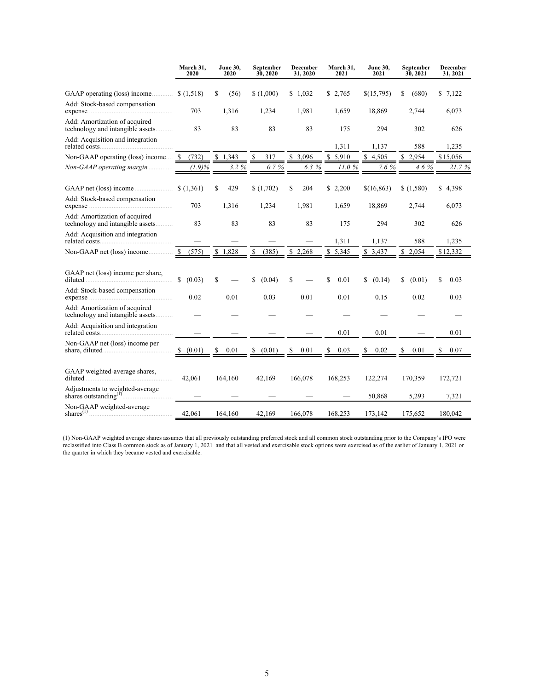|                                                                   | March 31,<br>2020      | <b>June 30,</b><br>2020 | September<br>30, 2020     | December<br>31, 2020 | March 31,<br>2021 | <b>June 30,</b><br>2021 | September<br>30, 2021 | December<br>31, 2021 |
|-------------------------------------------------------------------|------------------------|-------------------------|---------------------------|----------------------|-------------------|-------------------------|-----------------------|----------------------|
| GAAP operating (loss) income                                      | \$(1,518)              | \$<br>(56)              | \$(1,000)                 | \$1,032              | \$2,765           | \$(15,795)              | \$<br>(680)           | \$7,122              |
| Add: Stock-based compensation                                     | 703                    | 1,316                   | 1,234                     | 1,981                | 1,659             | 18,869                  | 2,744                 | 6,073                |
| Add: Amortization of acquired<br>technology and intangible assets | 83                     | 83                      | 83                        | 83                   | 175               | 294                     | 302                   | 626                  |
| Add: Acquisition and integration                                  |                        |                         |                           |                      | 1,311             | 1,137                   | 588                   | 1,235                |
| Non-GAAP operating (loss) income                                  | -S<br>(732)            | \$1,343                 | $\mathbf{\hat{S}}$<br>317 | \$3,096              | \$5,910           | \$4,505                 | \$2,954               | \$15,056             |
| Non-GAAP operating margin                                         | $(1.9)\%$              | 3.2%                    | 0.7%                      | 6.3%                 | 11.0%             | 7.6%                    | 4.6 %                 | 21.7%                |
| GAAP net (loss) income                                            | \$(1,361)              | \$<br>429               | \$(1,702)                 | \$<br>204            | \$2,200           | \$(16, 863)             | \$(1,580)             | \$4,398              |
| Add: Stock-based compensation                                     | 703                    | 1,316                   | 1,234                     | 1,981                | 1,659             | 18,869                  | 2,744                 | 6,073                |
| Add: Amortization of acquired<br>technology and intangible assets | 83                     | 83                      | 83                        | 83                   | 175               | 294                     | 302                   | 626                  |
| Add: Acquisition and integration                                  |                        |                         |                           |                      | 1,311             | 1,137                   | 588                   | 1,235                |
| Non-GAAP net (loss) income                                        | (575)<br>-S            | \$1,828                 | \$<br>(385)               | \$2,268              | \$5,345           | \$3,437                 | \$2,054               | \$12,332             |
| GAAP net (loss) income per share,                                 | $\mathbb{S}$<br>(0.03) | \$                      | S<br>(0.04)               | \$                   | \$<br>0.01        | (0.14)<br>\$            | \$<br>(0.01)          | \$<br>0.03           |
| Add: Stock-based compensation                                     | 0.02                   | 0.01                    | 0.03                      | 0.01                 | 0.01              | 0.15                    | 0.02                  | 0.03                 |
| Add: Amortization of acquired<br>technology and intangible assets |                        |                         |                           |                      |                   |                         |                       |                      |
| Add: Acquisition and integration                                  |                        |                         |                           |                      | 0.01              | 0.01                    |                       | 0.01                 |
| Non-GAAP net (loss) income per                                    | (0.01)<br>\$           | 0.01<br>\$              | \$<br>(0.01)              | \$<br>0.01           | \$<br>0.03        | 0.02<br>S               | \$<br>0.01            | 0.07<br>\$           |
| GAAP weighted-average shares,<br>diluted <u>contained</u>         | 42,061                 | 164,160                 | 42,169                    | 166,078              | 168,253           | 122,274                 | 170,359               | 172,721              |
|                                                                   |                        |                         |                           |                      |                   | 50,868                  | 5,293                 | 7,321                |
| Non-GAAP weighted-average                                         | 42.061                 | 164,160                 | 42,169                    | 166,078              | 168,253           | 173,142                 | 175,652               | 180,042              |

(1) Non-GAAP weighted average shares assumes that all previously outstanding preferred stock and all common stock outstanding prior to the Company's IPO were reclassified into Class B common stock as of January 1, 2021 and that all vested and exercisable stock options were exercised as of the earlier of January 1, 2021 or the quarter in which they became vested and exercisable.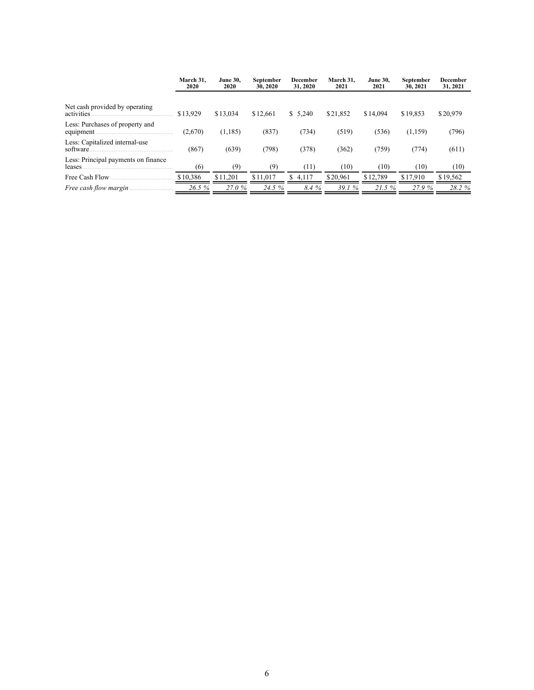|                                               | March 31.<br>2020 | <b>June 30.</b><br>2020 | September<br>30, 2020 | December<br>31, 2020 | March 31.<br>2021 | <b>June 30.</b><br>2021 | September<br>30, 2021 | <b>December</b><br>31, 2021 |
|-----------------------------------------------|-------------------|-------------------------|-----------------------|----------------------|-------------------|-------------------------|-----------------------|-----------------------------|
| Net cash provided by operating<br>activities  | \$13.929          | \$13.034                | \$12.661              | \$5,240              | \$21.852          | \$14,094                | \$19,853              | \$20,979                    |
| Less: Purchases of property and<br>equipment. | (2,670)           | (1,185)                 | (837)                 | (734)                | (519)             | (536)                   | (1,159)               | (796)                       |
| Less: Capitalized internal-use<br>software.   | (867)             | (639)                   | (798)                 | (378)                | (362)             | (759)                   | (774)                 | (611)                       |
| Less: Principal payments on finance<br>leases | (6)               | (9)                     | (9)                   | (11)                 | (10)              | (10)                    | (10)                  | (10)                        |
| Free Cash Flow                                | \$10,386          | \$11,201                | \$11,017              | 4.117<br>S.          | \$20.961          | \$12.789                | \$17.910              | \$19,562                    |
| Free cash flow margin                         | 26.5 %            | 27.0%                   | 24.5 %                | 8.4%                 | 39.1%             | 21.5%                   | 27.9%                 | 28.2 %                      |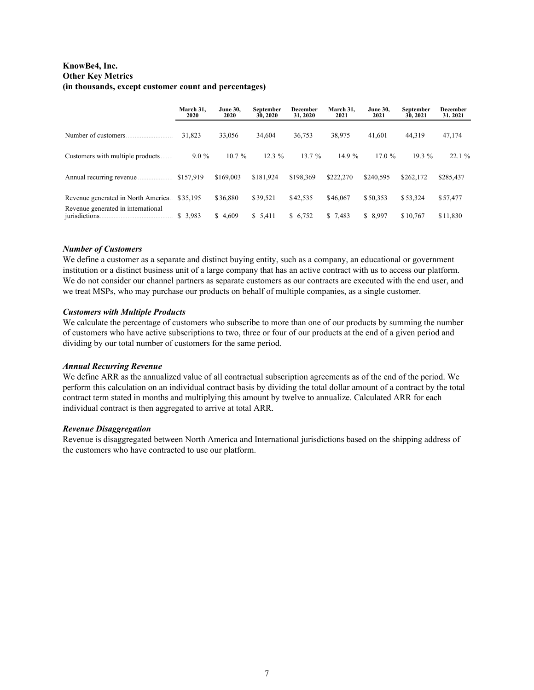### **KnowBe4, Inc. Other Key Metrics (in thousands, except customer count and percentages)**

|                                                      | March 31.<br>2020 | <b>June 30.</b><br>2020 | September<br>30, 2020 | March 31.<br>December<br>31, 2020<br>2021 |           | <b>June 30.</b><br>2021 | September<br>30, 2021 | <b>December</b><br>31, 2021 |
|------------------------------------------------------|-------------------|-------------------------|-----------------------|-------------------------------------------|-----------|-------------------------|-----------------------|-----------------------------|
| Number of customers                                  | 31,823            | 33.056                  | 34.604                | 36.753                                    | 38,975    | 41.601                  | 44.319                | 47,174                      |
| Customers with multiple products.                    | $9.0\%$           | $10.7 \%$               | $12.3\%$              | 13.7%                                     | 14.9%     | 17.0%                   | $19.3\%$              | 22.1%                       |
| Annual recurring revenue.                            | \$157,919         | \$169,003               | \$181.924             | \$198.369                                 | \$222.270 | \$240.595               | \$262.172             | \$285,437                   |
| Revenue generated in North America                   | \$35.195          | \$36.880                | \$39,521              | \$42,535                                  | \$46,067  | \$50.353                | \$53.324              | \$57,477                    |
| Revenue generated in international<br>jurisdictions. | \$3,983           | \$4,609                 | \$5,411               | \$ 6,752                                  | \$7,483   | \$ 8,997                | \$10,767              | \$11,830                    |

#### *Number of Customers*

We define a customer as a separate and distinct buying entity, such as a company, an educational or government institution or a distinct business unit of a large company that has an active contract with us to access our platform. We do not consider our channel partners as separate customers as our contracts are executed with the end user, and we treat MSPs, who may purchase our products on behalf of multiple companies, as a single customer.

#### *Customers with Multiple Products*

We calculate the percentage of customers who subscribe to more than one of our products by summing the number of customers who have active subscriptions to two, three or four of our products at the end of a given period and dividing by our total number of customers for the same period.

#### *Annual Recurring Revenue*

We define ARR as the annualized value of all contractual subscription agreements as of the end of the period. We perform this calculation on an individual contract basis by dividing the total dollar amount of a contract by the total contract term stated in months and multiplying this amount by twelve to annualize. Calculated ARR for each individual contract is then aggregated to arrive at total ARR.

#### *Revenue Disaggregation*

Revenue is disaggregated between North America and International jurisdictions based on the shipping address of the customers who have contracted to use our platform.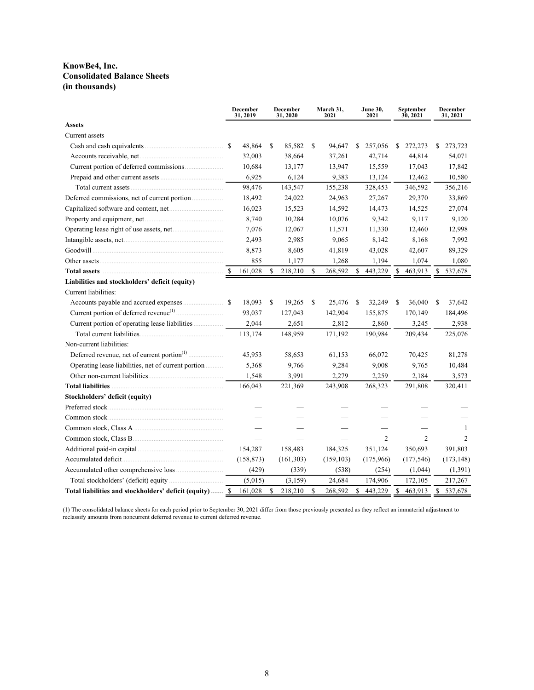### **KnowBe4, Inc. Consolidated Balance Sheets (in thousands)**

|                                                          |    | <b>December</b><br>31, 2019 | <b>December</b><br>31, 2020 |    | March 31,<br>2021 | <b>June 30,</b><br>2021 | September<br>30, 2021 | <b>December</b><br>31, 2021 |
|----------------------------------------------------------|----|-----------------------------|-----------------------------|----|-------------------|-------------------------|-----------------------|-----------------------------|
| <b>Assets</b>                                            |    |                             |                             |    |                   |                         |                       |                             |
| Current assets                                           |    |                             |                             |    |                   |                         |                       |                             |
|                                                          |    | 48,864                      | \$<br>85,582                | \$ | 94,647            | \$<br>257,056           | \$<br>272,273         | \$<br>273,723               |
|                                                          |    | 32,003                      | 38,664                      |    | 37,261            | 42,714                  | 44,814                | 54,071                      |
|                                                          |    | 10,684                      | 13,177                      |    | 13,947            | 15,559                  | 17,043                | 17,842                      |
|                                                          |    | 6,925                       | 6,124                       |    | 9,383             | 13,124                  | 12,462                | 10,580                      |
|                                                          |    | 98,476                      | 143,547                     |    | 155,238           | 328,453                 | 346,592               | 356,216                     |
|                                                          |    | 18,492                      | 24,022                      |    | 24,963            | 27,267                  | 29,370                | 33,869                      |
|                                                          |    | 16,023                      | 15,523                      |    | 14,592            | 14,473                  | 14,525                | 27,074                      |
|                                                          |    | 8,740                       | 10,284                      |    | 10,076            | 9,342                   | 9,117                 | 9,120                       |
|                                                          |    | 7,076                       | 12,067                      |    | 11,571            | 11,330                  | 12,460                | 12,998                      |
|                                                          |    | 2,493                       | 2,985                       |    | 9,065             | 8,142                   | 8,168                 | 7,992                       |
|                                                          |    | 8,873                       | 8,605                       |    | 41,819            | 43,028                  | 42,607                | 89,329                      |
|                                                          |    | 855                         | 1,177                       |    | 1,268             | 1,194                   | 1,074                 | 1,080                       |
|                                                          | -S | 161,028                     | \$<br>218,210               | \$ | 268,592           | \$<br>443,229           | \$<br>463,913         | \$<br>537,678               |
| Liabilities and stockholders' deficit (equity)           |    |                             |                             |    |                   |                         |                       |                             |
| Current liabilities:                                     |    |                             |                             |    |                   |                         |                       |                             |
|                                                          |    | 18,093                      | \$<br>19,265                | \$ | 25,476            | \$<br>32,249            | \$<br>36,040          | \$<br>37,642                |
|                                                          |    | 93,037                      | 127,043                     |    | 142,904           | 155,875                 | 170,149               | 184,496                     |
|                                                          |    | 2,044                       | 2,651                       |    | 2,812             | 2,860                   | 3,245                 | 2,938                       |
|                                                          |    | 113,174                     | 148,959                     |    | 171,192           | 190,984                 | 209,434               | 225,076                     |
| Non-current liabilities:                                 |    |                             |                             |    |                   |                         |                       |                             |
|                                                          |    | 45,953                      | 58,653                      |    | 61,153            | 66,072                  | 70,425                | 81,278                      |
| Operating lease liabilities, net of current portion      |    | 5,368                       | 9,766                       |    | 9,284             | 9,008                   | 9,765                 | 10,484                      |
|                                                          |    | 1,548                       | 3,991                       |    | 2,279             | 2,259                   | 2,184                 | 3,573                       |
| <b>Total liabilities</b>                                 |    | 166,043                     | 221,369                     |    | 243,908           | 268,323                 | 291,808               | 320,411                     |
| Stockholders' deficit (equity)                           |    |                             |                             |    |                   |                         |                       |                             |
|                                                          |    |                             |                             |    |                   |                         |                       |                             |
|                                                          |    |                             |                             |    |                   |                         |                       |                             |
|                                                          |    |                             |                             |    |                   |                         |                       | -1                          |
|                                                          |    |                             |                             |    |                   | $\overline{c}$          | $\overline{2}$        | 2                           |
|                                                          |    | 154,287                     | 158,483                     |    | 184,325           | 351,124                 | 350,693               | 391,803                     |
|                                                          |    | (158, 873)                  | (161, 303)                  |    | (159, 103)        | (175,966)               | (177, 546)            | (173, 148)                  |
|                                                          |    | (429)                       | (339)                       |    | (538)             | (254)                   | (1,044)               | (1,391)                     |
|                                                          |    | (5,015)                     | (3,159)                     |    | 24,684            | 174,906                 | 172,105               | 217,267                     |
| Total liabilities and stockholders' deficit (equity)  \$ |    | 161,028                     | \$<br>218,210               | S  | 268,592           | \$<br>443,229           | \$<br>463,913         | \$<br>537,678               |

(1) The consolidated balance sheets for each period prior to September 30, 2021 differ from those previously presented as they reflect an immaterial adjustment to reclassify amounts from noncurrent deferred revenue to current deferred revenue.